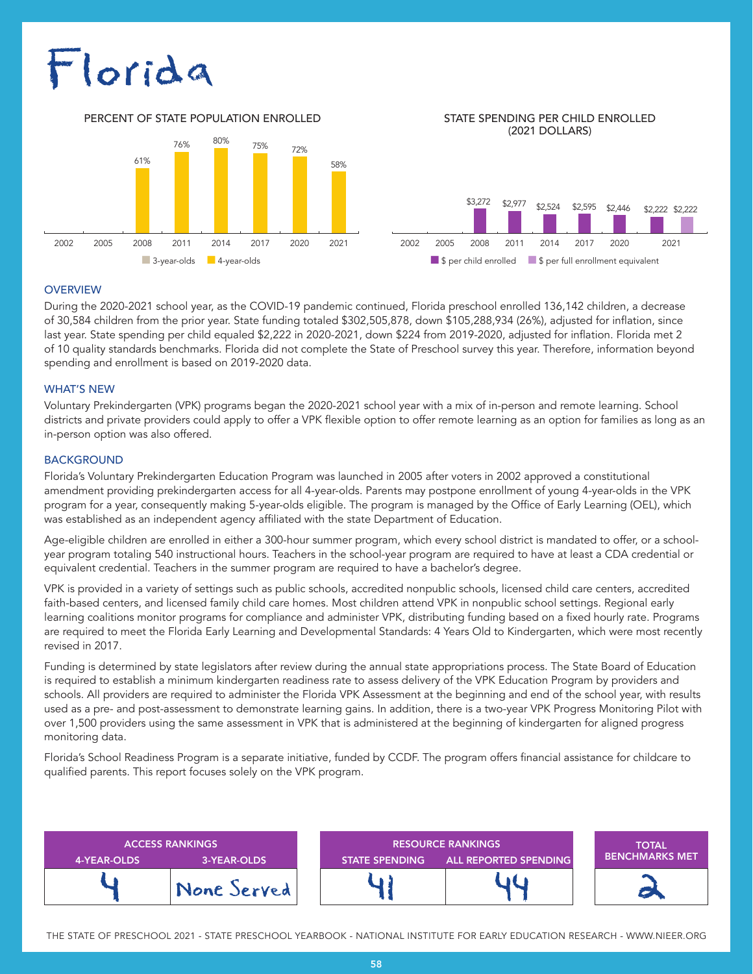# Florida

PERCENT OF STATE POPULATION ENROLLED STATE SPENDING PER CHILD ENROLLED



(2021 DOLLARS)



### **OVERVIEW**

During the 2020-2021 school year, as the COVID-19 pandemic continued, Florida preschool enrolled 136,142 children, a decrease of 30,584 children from the prior year. State funding totaled \$302,505,878, down \$105,288,934 (26%), adjusted for inflation, since last year. State spending per child equaled \$2,222 in 2020-2021, down \$224 from 2019-2020, adjusted for inflation. Florida met 2 of 10 quality standards benchmarks. Florida did not complete the State of Preschool survey this year. Therefore, information beyond spending and enrollment is based on 2019-2020 data.

### WHAT'S NEW

Voluntary Prekindergarten (VPK) programs began the 2020-2021 school year with a mix of in-person and remote learning. School districts and private providers could apply to offer a VPK flexible option to offer remote learning as an option for families as long as an in-person option was also offered.

### BACKGROUND

Florida's Voluntary Prekindergarten Education Program was launched in 2005 after voters in 2002 approved a constitutional amendment providing prekindergarten access for all 4-year-olds. Parents may postpone enrollment of young 4-year-olds in the VPK program for a year, consequently making 5-year-olds eligible. The program is managed by the Office of Early Learning (OEL), which was established as an independent agency affiliated with the state Department of Education.

Age-eligible children are enrolled in either a 300-hour summer program, which every school district is mandated to offer, or a schoolyear program totaling 540 instructional hours. Teachers in the school-year program are required to have at least a CDA credential or equivalent credential. Teachers in the summer program are required to have a bachelor's degree.

VPK is provided in a variety of settings such as public schools, accredited nonpublic schools, licensed child care centers, accredited faith-based centers, and licensed family child care homes. Most children attend VPK in nonpublic school settings. Regional early learning coalitions monitor programs for compliance and administer VPK, distributing funding based on a fixed hourly rate. Programs are required to meet the Florida Early Learning and Developmental Standards: 4 Years Old to Kindergarten, which were most recently revised in 2017.

Funding is determined by state legislators after review during the annual state appropriations process. The State Board of Education is required to establish a minimum kindergarten readiness rate to assess delivery of the VPK Education Program by providers and schools. All providers are required to administer the Florida VPK Assessment at the beginning and end of the school year, with results used as a pre- and post-assessment to demonstrate learning gains. In addition, there is a two-year VPK Progress Monitoring Pilot with over 1,500 providers using the same assessment in VPK that is administered at the beginning of kindergarten for aligned progress monitoring data.

Florida's School Readiness Program is a separate initiative, funded by CCDF. The program offers financial assistance for childcare to qualified parents. This report focuses solely on the VPK program.

| 4-YEAR-OLDS | <b>ACCESS RANKINGS</b><br>3-YEAR-OLDS | <b>RESOURCE RANKINGS</b><br><b>ALL REPORTED SPENDING</b><br><b>STATE SPENDING</b> |  | <b>TOTAL</b><br><b>BENCHMARKS MET</b> |
|-------------|---------------------------------------|-----------------------------------------------------------------------------------|--|---------------------------------------|
|             | None Served                           |                                                                                   |  |                                       |

THE STATE OF PRESCHOOL 2021 - STATE PRESCHOOL YEARBOOK - NATIONAL INSTITUTE FOR EARLY EDUCATION RESEARCH - WWW.NIEER.ORG